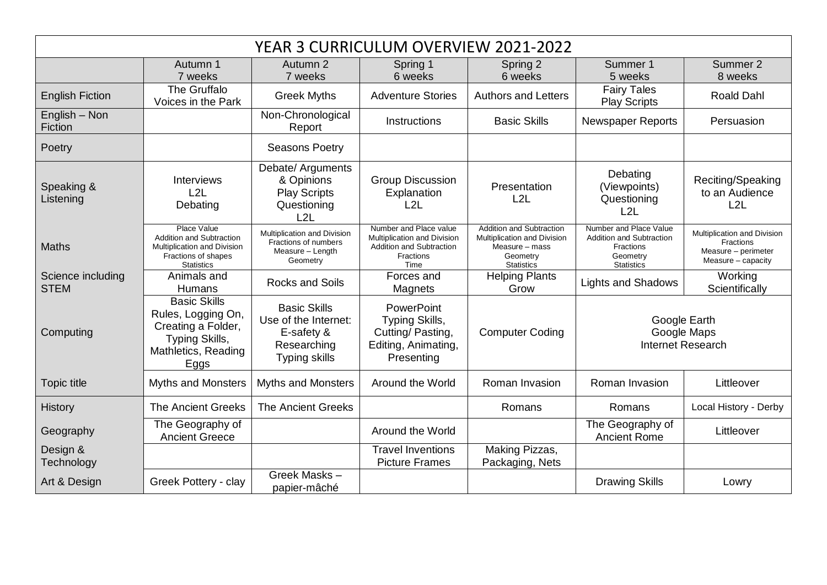| YEAR 3 CURRICULUM OVERVIEW 2021-2022 |                                                                                                                    |                                                                                                  |                                                                                                                      |                                                                                                            |                                                                                                                |                                                                                         |  |  |  |  |
|--------------------------------------|--------------------------------------------------------------------------------------------------------------------|--------------------------------------------------------------------------------------------------|----------------------------------------------------------------------------------------------------------------------|------------------------------------------------------------------------------------------------------------|----------------------------------------------------------------------------------------------------------------|-----------------------------------------------------------------------------------------|--|--|--|--|
|                                      | Autumn 1<br>7 weeks                                                                                                | Autumn 2<br>7 weeks                                                                              | Spring 1<br>6 weeks                                                                                                  | Spring 2<br>6 weeks                                                                                        | Summer 1<br>5 weeks                                                                                            | Summer 2<br>8 weeks                                                                     |  |  |  |  |
| <b>English Fiction</b>               | The Gruffalo<br>Voices in the Park                                                                                 | <b>Greek Myths</b>                                                                               | <b>Adventure Stories</b>                                                                                             | <b>Authors and Letters</b>                                                                                 | <b>Fairy Tales</b><br><b>Play Scripts</b>                                                                      | Roald Dahl                                                                              |  |  |  |  |
| English - Non<br>Fiction             |                                                                                                                    | Non-Chronological<br>Report                                                                      | Instructions                                                                                                         | <b>Basic Skills</b>                                                                                        | <b>Newspaper Reports</b>                                                                                       | Persuasion                                                                              |  |  |  |  |
| Poetry                               |                                                                                                                    | <b>Seasons Poetry</b>                                                                            |                                                                                                                      |                                                                                                            |                                                                                                                |                                                                                         |  |  |  |  |
| Speaking &<br>Listening              | <b>Interviews</b><br>L2L<br>Debating                                                                               | Debate/ Arguments<br>& Opinions<br><b>Play Scripts</b><br>Questioning<br>L2L                     | <b>Group Discussion</b><br>Explanation<br>L2L                                                                        | Presentation<br>L2L                                                                                        | Debating<br>(Viewpoints)<br>Questioning<br>L2L                                                                 | Reciting/Speaking<br>to an Audience<br>L2L                                              |  |  |  |  |
| <b>Maths</b>                         | Place Value<br>Addition and Subtraction<br>Multiplication and Division<br>Fractions of shapes<br><b>Statistics</b> | Multiplication and Division<br>Fractions of numbers<br>Measure - Length<br>Geometry              | Number and Place value<br>Multiplication and Division<br><b>Addition and Subtraction</b><br><b>Fractions</b><br>Time | Addition and Subtraction<br>Multiplication and Division<br>Measure - mass<br>Geometry<br><b>Statistics</b> | Number and Place Value<br><b>Addition and Subtraction</b><br><b>Fractions</b><br>Geometry<br><b>Statistics</b> | Multiplication and Division<br>Fractions<br>Measure - perimeter<br>Measure $-$ capacity |  |  |  |  |
| Science including<br><b>STEM</b>     | Animals and<br><b>Humans</b>                                                                                       | <b>Rocks and Soils</b>                                                                           | Forces and<br>Magnets                                                                                                | <b>Helping Plants</b><br>Grow                                                                              | <b>Lights and Shadows</b>                                                                                      | Working<br>Scientifically                                                               |  |  |  |  |
| Computing                            | <b>Basic Skills</b><br>Rules, Logging On,<br>Creating a Folder,<br>Typing Skills,<br>Mathletics, Reading<br>Eggs   | <b>Basic Skills</b><br>Use of the Internet:<br>E-safety &<br>Researching<br><b>Typing skills</b> | PowerPoint<br>Typing Skills,<br>Cutting/Pasting,<br>Editing, Animating,<br>Presenting                                | <b>Computer Coding</b>                                                                                     | Google Earth<br>Google Maps<br><b>Internet Research</b>                                                        |                                                                                         |  |  |  |  |
| <b>Topic title</b>                   | <b>Myths and Monsters</b>                                                                                          | <b>Myths and Monsters</b>                                                                        | Around the World                                                                                                     | Roman Invasion                                                                                             | Roman Invasion                                                                                                 | Littleover                                                                              |  |  |  |  |
| <b>History</b>                       | <b>The Ancient Greeks</b>                                                                                          | <b>The Ancient Greeks</b>                                                                        |                                                                                                                      | Romans                                                                                                     | Romans                                                                                                         | Local History - Derby                                                                   |  |  |  |  |
| Geography                            | The Geography of<br><b>Ancient Greece</b>                                                                          |                                                                                                  | Around the World                                                                                                     |                                                                                                            | The Geography of<br><b>Ancient Rome</b>                                                                        | Littleover                                                                              |  |  |  |  |
| Design &<br>Technology               |                                                                                                                    |                                                                                                  | <b>Travel Inventions</b><br><b>Picture Frames</b>                                                                    | Making Pizzas,<br>Packaging, Nets                                                                          |                                                                                                                |                                                                                         |  |  |  |  |
| Art & Design                         | Greek Pottery - clay                                                                                               | Greek Masks -<br>papier-mâché                                                                    |                                                                                                                      |                                                                                                            | <b>Drawing Skills</b>                                                                                          | Lowry                                                                                   |  |  |  |  |